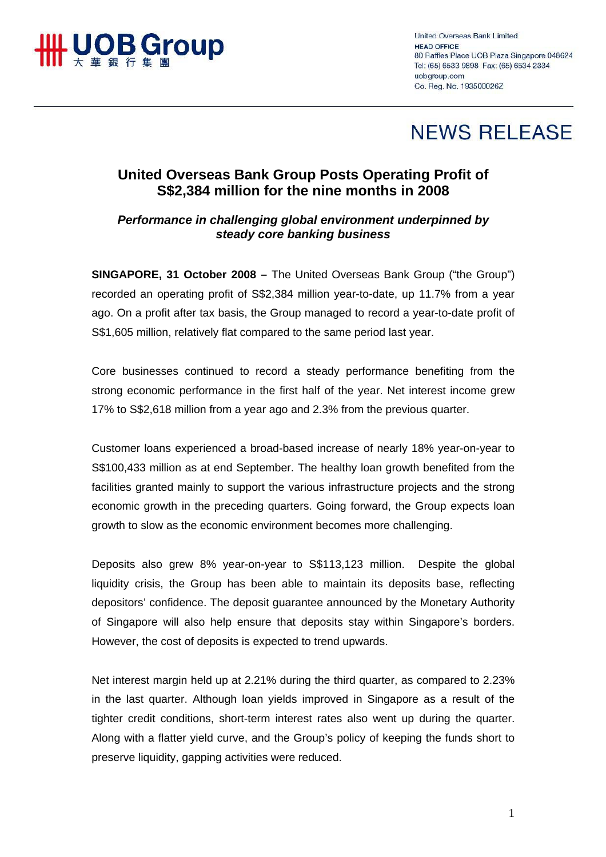

**United Overseas Bank Limited** HEAD OFFICE 80 Raffles Place UOB Plaza Singapore 048624 Tel: (65) 6533 9898 Fax: (65) 6534 2334 uobaroup.com Co. Reg. No. 193500026Z

## **NEWS RELEASE**

## **United Overseas Bank Group Posts Operating Profit of S\$2,384 million for the nine months in 2008**

## *Performance in challenging global environment underpinned by steady core banking business*

**SINGAPORE, 31 October 2008 –** The United Overseas Bank Group ("the Group") recorded an operating profit of S\$2,384 million year-to-date, up 11.7% from a year ago. On a profit after tax basis, the Group managed to record a year-to-date profit of S\$1,605 million, relatively flat compared to the same period last year.

Core businesses continued to record a steady performance benefiting from the strong economic performance in the first half of the year. Net interest income grew 17% to S\$2,618 million from a year ago and 2.3% from the previous quarter.

Customer loans experienced a broad-based increase of nearly 18% year-on-year to S\$100,433 million as at end September. The healthy loan growth benefited from the facilities granted mainly to support the various infrastructure projects and the strong economic growth in the preceding quarters. Going forward, the Group expects loan growth to slow as the economic environment becomes more challenging.

Deposits also grew 8% year-on-year to S\$113,123 million. Despite the global liquidity crisis, the Group has been able to maintain its deposits base, reflecting depositors' confidence. The deposit guarantee announced by the Monetary Authority of Singapore will also help ensure that deposits stay within Singapore's borders. However, the cost of deposits is expected to trend upwards.

Net interest margin held up at 2.21% during the third quarter, as compared to 2.23% in the last quarter. Although loan yields improved in Singapore as a result of the tighter credit conditions, short-term interest rates also went up during the quarter. Along with a flatter yield curve, and the Group's policy of keeping the funds short to preserve liquidity, gapping activities were reduced.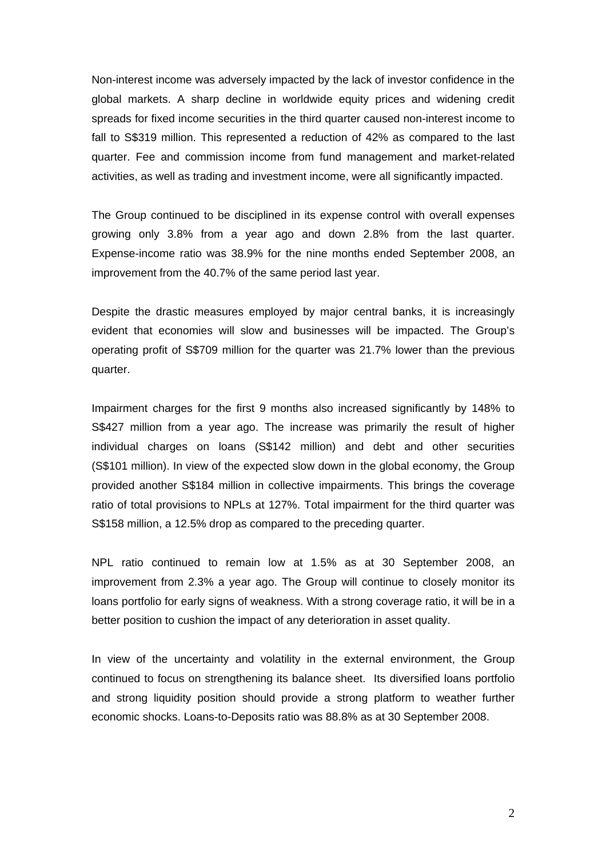Non-interest income was adversely impacted by the lack of investor confidence in the global markets. A sharp decline in worldwide equity prices and widening credit spreads for fixed income securities in the third quarter caused non-interest income to fall to S\$319 million. This represented a reduction of 42% as compared to the last quarter. Fee and commission income from fund management and market-related activities, as well as trading and investment income, were all significantly impacted.

The Group continued to be disciplined in its expense control with overall expenses growing only 3.8% from a year ago and down 2.8% from the last quarter. Expense-income ratio was 38.9% for the nine months ended September 2008, an improvement from the 40.7% of the same period last year.

Despite the drastic measures employed by major central banks, it is increasingly evident that economies will slow and businesses will be impacted. The Group's operating profit of S\$709 million for the quarter was 21.7% lower than the previous quarter.

Impairment charges for the first 9 months also increased significantly by 148% to S\$427 million from a year ago. The increase was primarily the result of higher individual charges on loans (S\$142 million) and debt and other securities (S\$101 million). In view of the expected slow down in the global economy, the Group provided another S\$184 million in collective impairments. This brings the coverage ratio of total provisions to NPLs at 127%. Total impairment for the third quarter was S\$158 million, a 12.5% drop as compared to the preceding quarter.

NPL ratio continued to remain low at 1.5% as at 30 September 2008, an improvement from 2.3% a year ago. The Group will continue to closely monitor its loans portfolio for early signs of weakness. With a strong coverage ratio, it will be in a better position to cushion the impact of any deterioration in asset quality.

In view of the uncertainty and volatility in the external environment, the Group continued to focus on strengthening its balance sheet. Its diversified loans portfolio and strong liquidity position should provide a strong platform to weather further economic shocks. Loans-to-Deposits ratio was 88.8% as at 30 September 2008.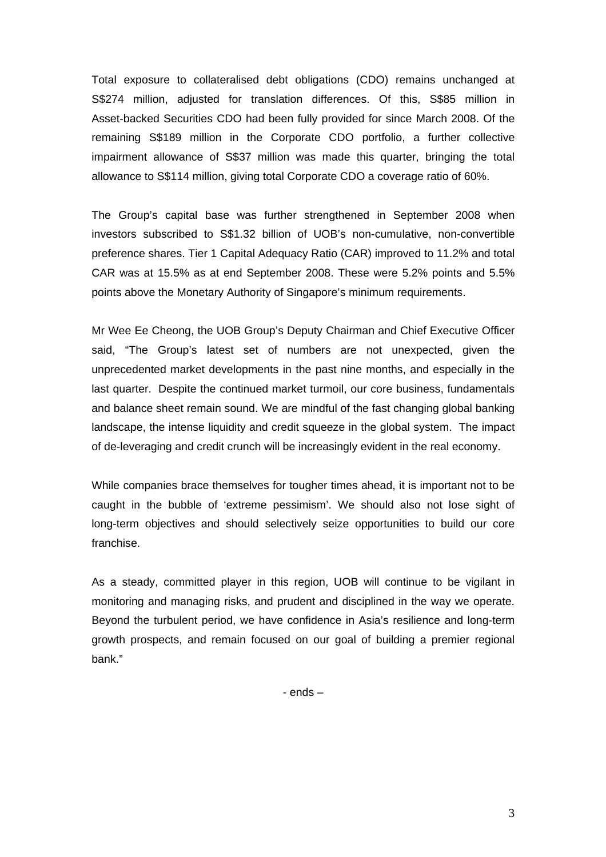Total exposure to collateralised debt obligations (CDO) remains unchanged at S\$274 million, adjusted for translation differences. Of this, S\$85 million in Asset-backed Securities CDO had been fully provided for since March 2008. Of the remaining S\$189 million in the Corporate CDO portfolio, a further collective impairment allowance of S\$37 million was made this quarter, bringing the total allowance to S\$114 million, giving total Corporate CDO a coverage ratio of 60%.

The Group's capital base was further strengthened in September 2008 when investors subscribed to S\$1.32 billion of UOB's non-cumulative, non-convertible preference shares. Tier 1 Capital Adequacy Ratio (CAR) improved to 11.2% and total CAR was at 15.5% as at end September 2008. These were 5.2% points and 5.5% points above the Monetary Authority of Singapore's minimum requirements.

Mr Wee Ee Cheong, the UOB Group's Deputy Chairman and Chief Executive Officer said, "The Group's latest set of numbers are not unexpected, given the unprecedented market developments in the past nine months, and especially in the last quarter. Despite the continued market turmoil, our core business, fundamentals and balance sheet remain sound. We are mindful of the fast changing global banking landscape, the intense liquidity and credit squeeze in the global system. The impact of de-leveraging and credit crunch will be increasingly evident in the real economy.

While companies brace themselves for tougher times ahead, it is important not to be caught in the bubble of 'extreme pessimism'. We should also not lose sight of long-term objectives and should selectively seize opportunities to build our core franchise.

As a steady, committed player in this region, UOB will continue to be vigilant in monitoring and managing risks, and prudent and disciplined in the way we operate. Beyond the turbulent period, we have confidence in Asia's resilience and long-term growth prospects, and remain focused on our goal of building a premier regional bank."

- ends –